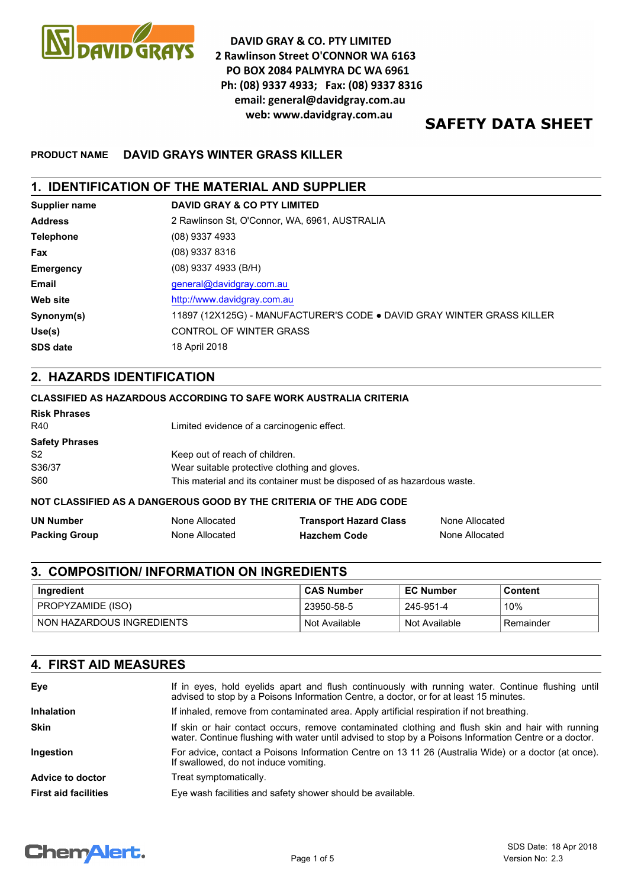

**DAVID GRAY & CO. PTY LIMITED** 2 Rawlinson Street O'CONNOR WA 6163 PO BOX 2084 PALMYRA DC WA 6961 Ph: (08) 9337 4933; Fax: (08) 9337 8316 email: general@davidgray.com.au web: www.davidgray.com.au

# **SAFETY DATA SHEET**

## **PRODUCT NAME DAVID GRAYS WINTER GRASS KILLER**

## **1. IDENTIFICATION OF THE MATERIAL AND SUPPLIER**

| Supplier name    | <b>DAVID GRAY &amp; CO PTY LIMITED</b>                                 |
|------------------|------------------------------------------------------------------------|
| <b>Address</b>   | 2 Rawlinson St. O'Connor, WA, 6961, AUSTRALIA                          |
| <b>Telephone</b> | $(08)$ 9337 4933                                                       |
| Fax              | $(08)$ 9337 8316                                                       |
| <b>Emergency</b> | (08) 9337 4933 (B/H)                                                   |
| Email            | general@davidgray.com.au                                               |
| <b>Web site</b>  | http://www.davidgray.com.au                                            |
| Synonym(s)       | 11897 (12X125G) - MANUFACTURER'S CODE . DAVID GRAY WINTER GRASS KILLER |
| Use(s)           | <b>CONTROL OF WINTER GRASS</b>                                         |
| <b>SDS date</b>  | 18 April 2018                                                          |

## **2. HAZARDS IDENTIFICATION**

#### **CLASSIFIED AS HAZARDOUS ACCORDING TO SAFE WORK AUSTRALIA CRITERIA**

| <b>Risk Phrases</b><br>R40 | Limited evidence of a carcinogenic effect.                              |
|----------------------------|-------------------------------------------------------------------------|
| <b>Safety Phrases</b>      |                                                                         |
| S <sub>2</sub>             | Keep out of reach of children.                                          |
| S36/37                     | Wear suitable protective clothing and gloves.                           |
| S60                        | This material and its container must be disposed of as hazardous waste. |

#### **NOT CLASSIFIED AS A DANGEROUS GOOD BY THE CRITERIA OF THE ADG CODE**

| <b>UN Number</b>     | None Allocated | <b>Transport Hazard Class</b> | None Allocated |
|----------------------|----------------|-------------------------------|----------------|
| <b>Packing Group</b> | None Allocated | <b>Hazchem Code</b>           | None Allocated |

# **3. COMPOSITION/ INFORMATION ON INGREDIENTS**

| ˈlngredient               | <b>CAS Number</b> | <b>EC Number</b> | Content    |
|---------------------------|-------------------|------------------|------------|
| PROPYZAMIDE (ISO)         | 23950-58-5        | 245-951-4        | 10%        |
| NON HAZARDOUS INGREDIENTS | Not Available     | Not Available    | ⊦Remainder |

## **4. FIRST AID MEASURES**

| Eye                         | If in eyes, hold eyelids apart and flush continuously with running water. Continue flushing until<br>advised to stop by a Poisons Information Centre, a doctor, or for at least 15 minutes.                 |
|-----------------------------|-------------------------------------------------------------------------------------------------------------------------------------------------------------------------------------------------------------|
| <b>Inhalation</b>           | If inhaled, remove from contaminated area. Apply artificial respiration if not breathing.                                                                                                                   |
| <b>Skin</b>                 | If skin or hair contact occurs, remove contaminated clothing and flush skin and hair with running<br>water. Continue flushing with water until advised to stop by a Poisons Information Centre or a doctor. |
| Ingestion                   | For advice, contact a Poisons Information Centre on 13 11 26 (Australia Wide) or a doctor (at once).<br>If swallowed, do not induce vomiting.                                                               |
| Advice to doctor            | Treat symptomatically.                                                                                                                                                                                      |
| <b>First aid facilities</b> | Eye wash facilities and safety shower should be available.                                                                                                                                                  |

# **ChemAlert.**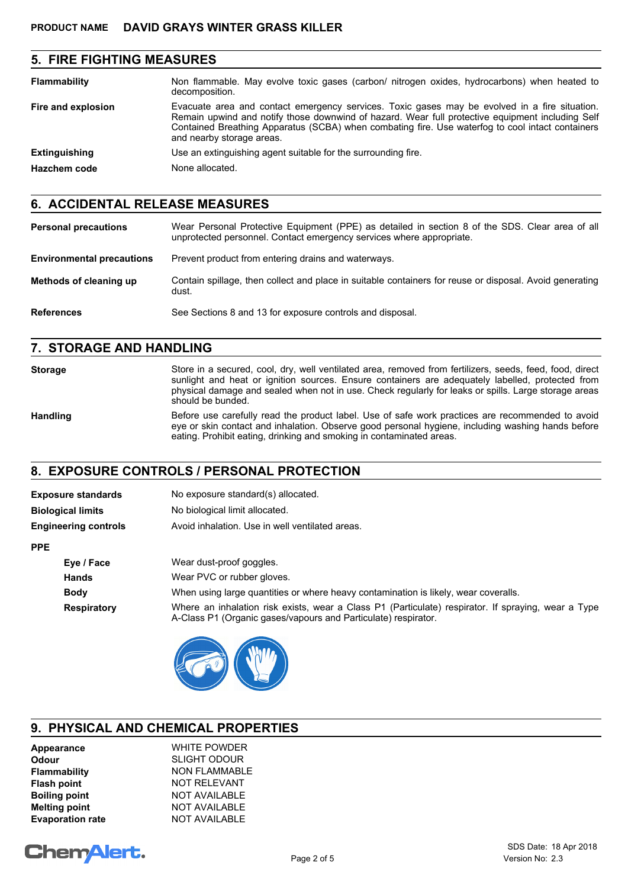## **5. FIRE FIGHTING MEASURES**

| <b>Flammability</b>  | Non flammable. May evolve toxic gases (carbon/ nitrogen oxides, hydrocarbons) when heated to<br>decomposition.                                                                                                                                                                                                                     |
|----------------------|------------------------------------------------------------------------------------------------------------------------------------------------------------------------------------------------------------------------------------------------------------------------------------------------------------------------------------|
| Fire and explosion   | Evacuate area and contact emergency services. Toxic gases may be evolved in a fire situation.<br>Remain upwind and notify those downwind of hazard. Wear full protective equipment including Self<br>Contained Breathing Apparatus (SCBA) when combating fire. Use waterfog to cool intact containers<br>and nearby storage areas. |
| <b>Extinguishing</b> | Use an extinguishing agent suitable for the surrounding fire.                                                                                                                                                                                                                                                                      |
| <b>Hazchem code</b>  | None allocated.                                                                                                                                                                                                                                                                                                                    |

## **6. ACCIDENTAL RELEASE MEASURES**

| <b>Personal precautions</b>      | Wear Personal Protective Equipment (PPE) as detailed in section 8 of the SDS. Clear area of all<br>unprotected personnel. Contact emergency services where appropriate. |
|----------------------------------|-------------------------------------------------------------------------------------------------------------------------------------------------------------------------|
| <b>Environmental precautions</b> | Prevent product from entering drains and waterways.                                                                                                                     |
| Methods of cleaning up           | Contain spillage, then collect and place in suitable containers for reuse or disposal. Avoid generating<br>dust.                                                        |
| <b>References</b>                | See Sections 8 and 13 for exposure controls and disposal.                                                                                                               |

## **7. STORAGE AND HANDLING**

**Storage** Store in a secured, cool, dry, well ventilated area, removed from fertilizers, seeds, feed, food, direct sunlight and heat or ignition sources. Ensure containers are adequately labelled, protected from physical damage and sealed when not in use. Check regularly for leaks or spills. Large storage areas should be bunded. Handling Before use carefully read the product label. Use of safe work practices are recommended to avoid eye or skin contact and inhalation. Observe good personal hygiene, including washing hands before eating. Prohibit eating, drinking and smoking in contaminated areas.

## **8. EXPOSURE CONTROLS / PERSONAL PROTECTION**

| <b>Exposure standards</b>   | No exposure standard(s) allocated.                                                                                                                                    |
|-----------------------------|-----------------------------------------------------------------------------------------------------------------------------------------------------------------------|
| <b>Biological limits</b>    | No biological limit allocated.                                                                                                                                        |
| <b>Engineering controls</b> | Avoid inhalation. Use in well ventilated areas.                                                                                                                       |
| <b>PPE</b>                  |                                                                                                                                                                       |
| Eye / Face                  | Wear dust-proof goggles.                                                                                                                                              |
| <b>Hands</b>                | Wear PVC or rubber gloves.                                                                                                                                            |
| <b>Body</b>                 | When using large quantities or where heavy contamination is likely, wear coveralls.                                                                                   |
| <b>Respiratory</b>          | Where an inhalation risk exists, wear a Class P1 (Particulate) respirator. If spraying, wear a Type<br>A-Class P1 (Organic gases/vapours and Particulate) respirator. |
|                             |                                                                                                                                                                       |



## **9. PHYSICAL AND CHEMICAL PROPERTIES**

| Appearance              | <b>WHITE POWDER</b>  |
|-------------------------|----------------------|
| <b>Odour</b>            | <b>SLIGHT ODOUR</b>  |
| Flammability            | <b>NON FLAMMABLE</b> |
| <b>Flash point</b>      | <b>NOT RELEVANT</b>  |
| <b>Boiling point</b>    | <b>NOT AVAILABLE</b> |
| <b>Melting point</b>    | <b>NOT AVAILABLE</b> |
| <b>Evaporation rate</b> | <b>NOT AVAILABLE</b> |

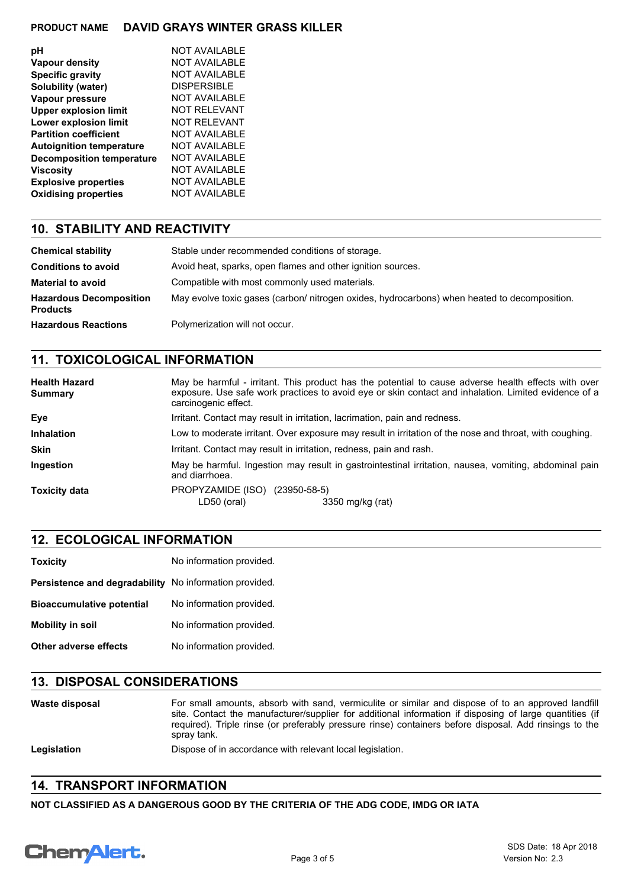### **PRODUCT NAME DAVID GRAYS WINTER GRASS KILLER**

| рH                               | NOT AVAILABLE        |
|----------------------------------|----------------------|
| <b>Vapour density</b>            | <b>NOT AVAILABLE</b> |
| <b>Specific gravity</b>          | <b>NOT AVAILABLE</b> |
| Solubility (water)               | <b>DISPERSIBLE</b>   |
| Vapour pressure                  | <b>NOT AVAILABLE</b> |
| <b>Upper explosion limit</b>     | NOT REI EVANT        |
| <b>Lower explosion limit</b>     | NOT REI EVANT        |
| <b>Partition coefficient</b>     | NOT AVAILABLE        |
| <b>Autoignition temperature</b>  | <b>NOT AVAILABLE</b> |
| <b>Decomposition temperature</b> | <b>NOT AVAILABLE</b> |
| <b>Viscosity</b>                 | NOT AVAILABLE        |
| <b>Explosive properties</b>      | <b>NOT AVAILABLE</b> |
| <b>Oxidising properties</b>      | NOT AVAILABLE        |

## **10. STABILITY AND REACTIVITY**

| <b>Chemical stability</b>                         | Stable under recommended conditions of storage.                                              |
|---------------------------------------------------|----------------------------------------------------------------------------------------------|
| <b>Conditions to avoid</b>                        | Avoid heat, sparks, open flames and other ignition sources.                                  |
| <b>Material to avoid</b>                          | Compatible with most commonly used materials.                                                |
| <b>Hazardous Decomposition</b><br><b>Products</b> | May evolve toxic gases (carbon/ nitrogen oxides, hydrocarbons) when heated to decomposition. |
| <b>Hazardous Reactions</b>                        | Polymerization will not occur.                                                               |

## **11. TOXICOLOGICAL INFORMATION**

| <b>Health Hazard</b><br><b>Summary</b> | May be harmful - irritant. This product has the potential to cause adverse health effects with over<br>exposure. Use safe work practices to avoid eye or skin contact and inhalation. Limited evidence of a<br>carcinogenic effect. |
|----------------------------------------|-------------------------------------------------------------------------------------------------------------------------------------------------------------------------------------------------------------------------------------|
| Eye                                    | Irritant. Contact may result in irritation, lacrimation, pain and redness.                                                                                                                                                          |
| <b>Inhalation</b>                      | Low to moderate irritant. Over exposure may result in irritation of the nose and throat, with coughing.                                                                                                                             |
| <b>Skin</b>                            | Irritant. Contact may result in irritation, redness, pain and rash.                                                                                                                                                                 |
| Ingestion                              | May be harmful. Ingestion may result in gastrointestinal irritation, nausea, vomiting, abdominal pain<br>and diarrhoea.                                                                                                             |
| <b>Toxicity data</b>                   | PROPYZAMIDE (ISO)<br>(23950-58-5)<br>LD50 (oral)<br>3350 mg/kg (rat)                                                                                                                                                                |

## **12. ECOLOGICAL INFORMATION**

| <b>Toxicity</b>                  | No information provided. |
|----------------------------------|--------------------------|
| Persistence and degradability    | No information provided. |
| <b>Bioaccumulative potential</b> | No information provided. |
| <b>Mobility in soil</b>          | No information provided. |
| Other adverse effects            | No information provided. |

## **13. DISPOSAL CONSIDERATIONS**

| Waste disposal | For small amounts, absorb with sand, vermiculite or similar and dispose of to an approved landfill<br>site. Contact the manufacturer/supplier for additional information if disposing of large quantities (if<br>required). Triple rinse (or preferably pressure rinse) containers before disposal. Add rinsings to the<br>spray tank. |
|----------------|----------------------------------------------------------------------------------------------------------------------------------------------------------------------------------------------------------------------------------------------------------------------------------------------------------------------------------------|
| Legislation    | Dispose of in accordance with relevant local legislation.                                                                                                                                                                                                                                                                              |

## **14. TRANSPORT INFORMATION**

**NOT CLASSIFIED AS A DANGEROUS GOOD BY THE CRITERIA OF THE ADG CODE, IMDG OR IATA**

# Chemalert.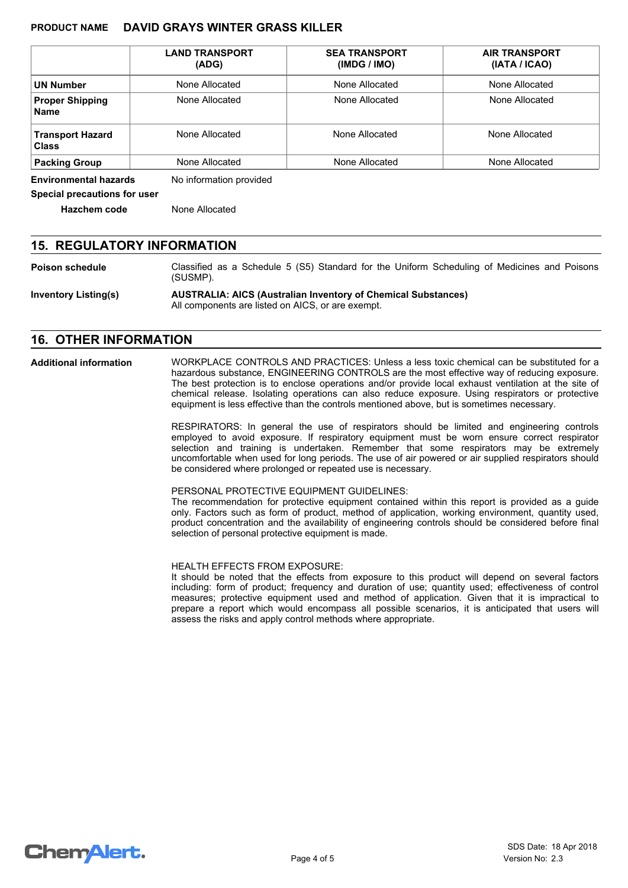#### **PRODUCT NAME DAVID GRAYS WINTER GRASS KILLER**

|                                         | <b>LAND TRANSPORT</b><br>(ADG) | <b>SEA TRANSPORT</b><br>(IMDG / IMO) | <b>AIR TRANSPORT</b><br>(IATA / ICAO) |  |
|-----------------------------------------|--------------------------------|--------------------------------------|---------------------------------------|--|
| <b>UN Number</b><br>None Allocated      |                                | None Allocated                       | None Allocated                        |  |
| <b>Proper Shipping</b><br><b>Name</b>   | None Allocated                 | None Allocated                       | None Allocated                        |  |
| <b>Transport Hazard</b><br><b>Class</b> | None Allocated                 | None Allocated                       | None Allocated                        |  |
| None Allocated<br><b>Packing Group</b>  |                                | None Allocated                       | None Allocated                        |  |

**Environmental hazards** No information provided

**Special precautions for user**

**Hazchem code** None Allocated

### **15. REGULATORY INFORMATION**

**Poison schedule** Classified as a Schedule 5 (S5) Standard for the Uniform Scheduling of Medicines and Poisons (SUSMP).

**Inventory Listing(s) AUSTRALIA: AICS (Australian Inventory of Chemical Substances)** All components are listed on AICS, or are exempt.

#### **16. OTHER INFORMATION**

**Additional information**

WORKPLACE CONTROLS AND PRACTICES: Unless a less toxic chemical can be substituted for a hazardous substance, ENGINEERING CONTROLS are the most effective way of reducing exposure. The best protection is to enclose operations and/or provide local exhaust ventilation at the site of chemical release. Isolating operations can also reduce exposure. Using respirators or protective equipment is less effective than the controls mentioned above, but is sometimes necessary.

RESPIRATORS: In general the use of respirators should be limited and engineering controls employed to avoid exposure. If respiratory equipment must be worn ensure correct respirator selection and training is undertaken. Remember that some respirators may be extremely uncomfortable when used for long periods. The use of air powered or air supplied respirators should be considered where prolonged or repeated use is necessary.

PERSONAL PROTECTIVE EQUIPMENT GUIDELINES:

The recommendation for protective equipment contained within this report is provided as a guide only. Factors such as form of product, method of application, working environment, quantity used, product concentration and the availability of engineering controls should be considered before final selection of personal protective equipment is made.

HEALTH EFFECTS FROM EXPOSURE:

It should be noted that the effects from exposure to this product will depend on several factors including: form of product; frequency and duration of use; quantity used; effectiveness of control measures; protective equipment used and method of application. Given that it is impractical to prepare a report which would encompass all possible scenarios, it is anticipated that users will assess the risks and apply control methods where appropriate.